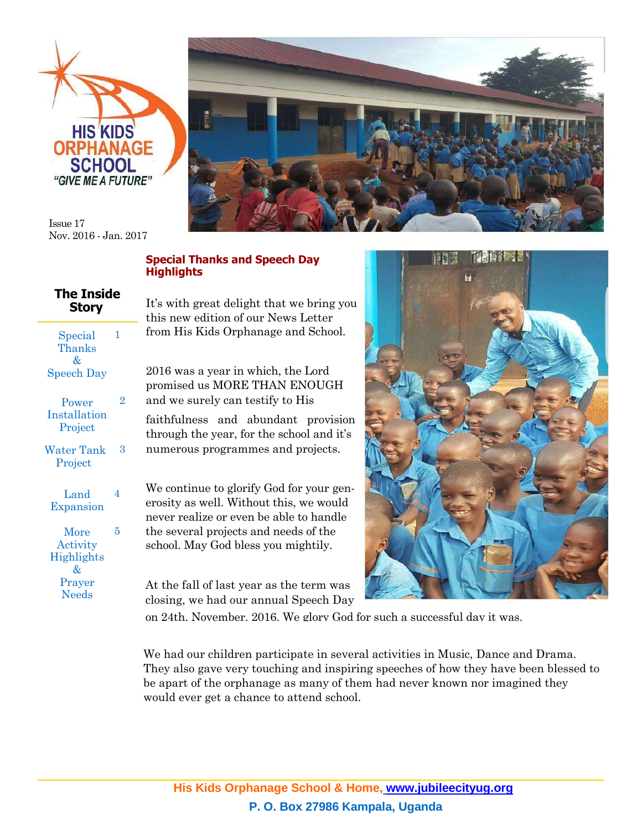



Issue 17 Nov. 2016 - Jan. 2017

## **Special Thanks and Speech Day Highlights**

|              | <b>The Inside</b> |
|--------------|-------------------|
| <b>Story</b> |                   |

| Special<br>Thanks<br>&<br><b>Speech Day</b>            |   |
|--------------------------------------------------------|---|
| Power<br>Installation<br>Project                       | 2 |
| <b>Water Tank</b><br>Project                           | 3 |
| Land<br>Expansion                                      | 4 |
| More<br>Activity<br>Highlights<br>&<br>Prayer<br>Needs | 5 |

It's with great delight that we bring you this new edition of our News Letter from His Kids Orphanage and School.

2016 was a year in which, the Lord promised us MORE THAN ENOUGH and we surely can testify to His faithfulness and abundant provision

through the year, for the school and it's numerous programmes and projects.

We continue to glorify God for your generosity as well. Without this, we would never realize or even be able to handle the several projects and needs of the school. May God bless you mightily.

At the fall of last year as the term was closing, we had our annual Speech Day



on 24th. November. 2016. We glory God for such a successful day it was.

We had our children participate in several activities in Music, Dance and Drama. They also gave very touching and inspiring speeches of how they have been blessed to be apart of the orphanage as many of them had never known nor imagined they would ever get a chance to attend school.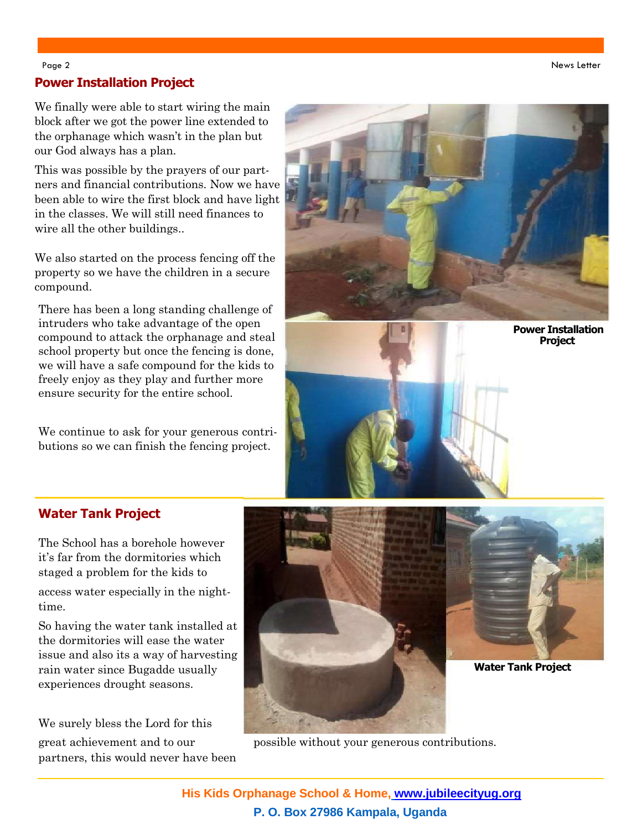Page 2 News Letter (News Letter ) and the contract of the contract of the contract of the contract of the contract of the contract of the contract of the contract of the contract of the contract of the contract of the cont

## **Power Installation Project**

We finally were able to start wiring the main block after we got the power line extended to the orphanage which wasn't in the plan but our God always has a plan.

This was possible by the prayers of our partners and financial contributions. Now we have been able to wire the first block and have light in the classes. We will still need finances to wire all the other buildings..

We also started on the process fencing off the property so we have the children in a secure compound.

There has been a long standing challenge of intruders who take advantage of the open compound to attack the orphanage and steal school property but once the fencing is done, we will have a safe compound for the kids to freely enjoy as they play and further more ensure security for the entire school.

We continue to ask for your generous contributions so we can finish the fencing project.





# **Water Tank Project**

The School has a borehole however it's far from the dormitories which staged a problem for the kids to

access water especially in the nighttime.

So having the water tank installed at the dormitories will ease the water issue and also its a way of harvesting rain water since Bugadde usually experiences drought seasons.

We surely bless the Lord for this partners, this would never have been





**Water Tank Project**

great achievement and to our possible without your generous contributions.

**His Kids Orphanage School & Home, [www.jubileecityug.org](http://www.jubileecityug.org/) P. O. Box 27986 Kampala, Uganda**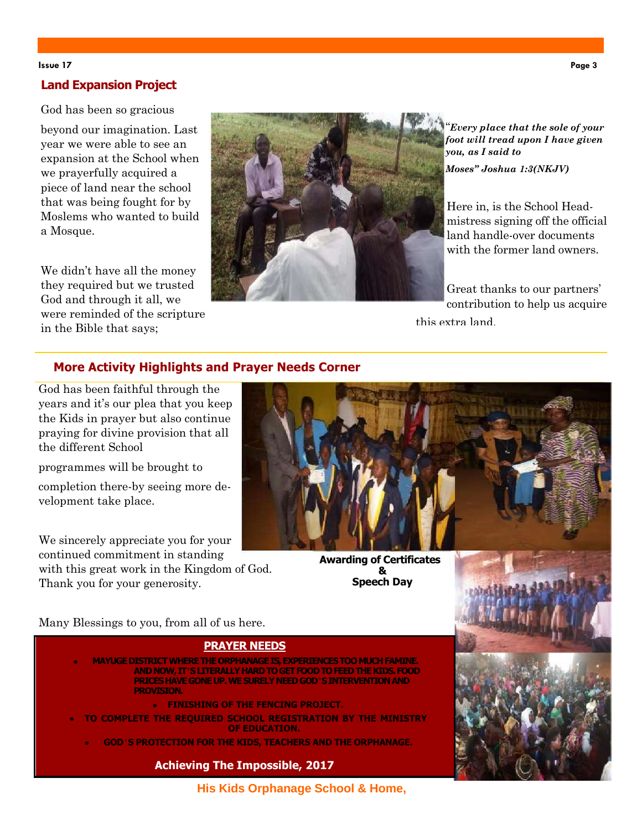### **Issue 17 Page 3**

## **Land Expansion Project**

God has been so gracious

beyond our imagination. Last year we were able to see an expansion at the School when we prayerfully acquired a piece of land near the school that was being fought for by Moslems who wanted to build a Mosque.

We didn't have all the money they required but we trusted God and through it all, we were reminded of the scripture in the Bible that says;



"*Every place that the sole of your foot will tread upon I have given you, as I said to Moses" Joshua 1:3(NKJV)*

Here in, is the School Headmistress signing off the official land handle-over documents with the former land owners.

Great thanks to our partners' contribution to help us acquire this extra land.

# **More Activity Highlights and Prayer Needs Corner**

God has been faithful through the years and it's our plea that you keep the Kids in prayer but also continue praying for divine provision that all the different School

programmes will be brought to

completion there-by seeing more development take place.

We sincerely appreciate you for your continued commitment in standing with this great work in the Kingdom of God. Thank you for your generosity.



**Awarding of Certificates & Speech Day**

Many Blessings to you, from all of us here.

## **PRAYER NEEDS**

- **MAYUGE DISTRICT WHERE THE ORPHANAGE IS, EXPERIENCES TOO MUCH FAMINE. AND NOW, IT**'**S LITERALLY HARD TO GET FOOD TO FEED THE KIDS. FOOD PRICES HAVE GONE UP. WE SURELY NEED GOD**'**S INTERVENTION AND PROVISION.**
	- **FINISHING OF THE FENCING PROJECT.**
- **TO COMPLETE THE REQUIRED SCHOOL REGISTRATION BY THE MINISTRY OF EDUCATION.**
	- **GOD**'**S PROTECTION FOR THE KIDS, TEACHERS AND THE ORPHANAGE.**

**Achieving The Impossible, 2017**



**His Kids Orphanage School & Home,**